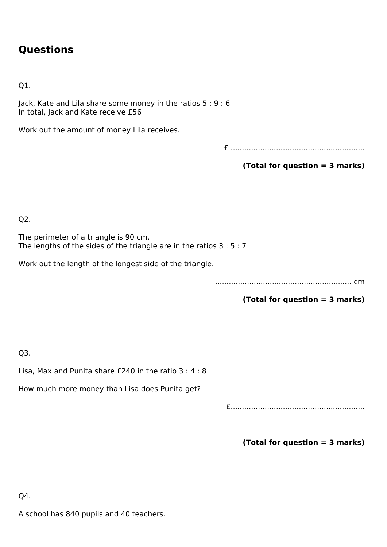# **Questions**

Q1.

Jack, Kate and Lila share some money in the ratios 5 : 9 : 6 In total, Jack and Kate receive £56

Work out the amount of money Lila receives.

£ ...........................................................

**(Total for question = 3 marks)**

Q2.

The perimeter of a triangle is 90 cm. The lengths of the sides of the triangle are in the ratios 3 : 5 : 7

Work out the length of the longest side of the triangle.

............................................................ cm

**(Total for question = 3 marks)**

Q3.

Lisa, Max and Punita share £240 in the ratio 3 : 4 : 8

How much more money than Lisa does Punita get?

£...........................................................

**(Total for question = 3 marks)**

Q4.

A school has 840 pupils and 40 teachers.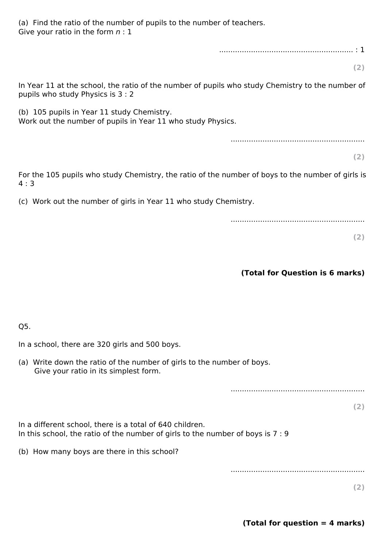(a) Find the ratio of the number of pupils to the number of teachers. Give your ratio in the form *n* : 1

........................................................... : 1

**(2)**

In Year 11 at the school, the ratio of the number of pupils who study Chemistry to the number of pupils who study Physics is 3 : 2

(b) 105 pupils in Year 11 study Chemistry. Work out the number of pupils in Year 11 who study Physics.

...........................................................

**(2)**

For the 105 pupils who study Chemistry, the ratio of the number of boys to the number of girls is 4 : 3

(c) Work out the number of girls in Year 11 who study Chemistry.

...........................................................

**(2)**

#### **(Total for Question is 6 marks)**

Q5.

In a school, there are 320 girls and 500 boys.

(a) Write down the ratio of the number of girls to the number of boys. Give your ratio in its simplest form.

...........................................................

**(2)**

In a different school, there is a total of 640 children. In this school, the ratio of the number of girls to the number of boys is 7 : 9

(b) How many boys are there in this school?

...........................................................

**(2)**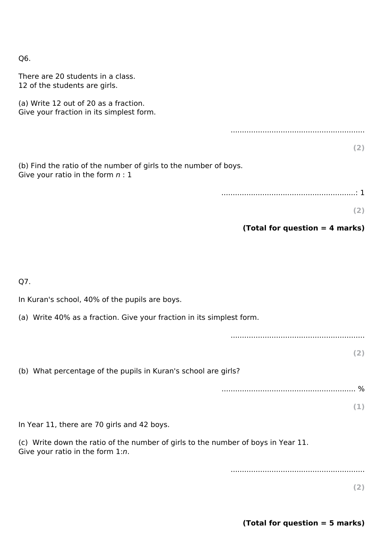Q6.

| There are 20 students in a class.<br>12 of the students are girls.                                                    |
|-----------------------------------------------------------------------------------------------------------------------|
| (a) Write 12 out of 20 as a fraction.<br>Give your fraction in its simplest form.                                     |
|                                                                                                                       |
| (2)                                                                                                                   |
| (b) Find the ratio of the number of girls to the number of boys.<br>Give your ratio in the form $n:1$                 |
|                                                                                                                       |
| (2)                                                                                                                   |
| (Total for question $=$ 4 marks)                                                                                      |
|                                                                                                                       |
|                                                                                                                       |
| Q7.                                                                                                                   |
| In Kuran's school, 40% of the pupils are boys.                                                                        |
| (a) Write 40% as a fraction. Give your fraction in its simplest form.                                                 |
|                                                                                                                       |
| (2)                                                                                                                   |
| (b) What percentage of the pupils in Kuran's school are girls?                                                        |
|                                                                                                                       |
| (1)                                                                                                                   |
| In Year 11, there are 70 girls and 42 boys.                                                                           |
| (c) Write down the ratio of the number of girls to the number of boys in Year 11.<br>Give your ratio in the form 1:n. |
|                                                                                                                       |
|                                                                                                                       |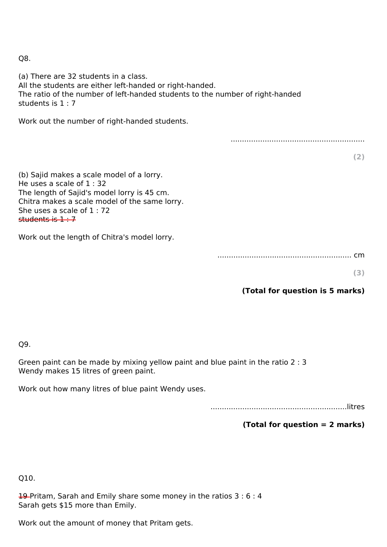Q8.

(a) There are 32 students in a class. All the students are either left-handed or right-handed. The ratio of the number of left-handed students to the number of right-handed students is 1 : 7 Work out the number of right-handed students. ........................................................... **(2)** (b) Sajid makes a scale model of a lorry. He uses a scale of  $1:32$ The length of Sajid's model lorry is 45 cm. Chitra makes a scale model of the same lorry. She uses a scale of 1 : 72 students is  $1:7$ Work out the length of Chitra's model lorry.

........................................................... cm

**(3)**

## **(Total for question is 5 marks)**

Q9.

Green paint can be made by mixing yellow paint and blue paint in the ratio 2 : 3 Wendy makes 15 litres of green paint.

Work out how many litres of blue paint Wendy uses.

............................................................litres

## **(Total for question = 2 marks)**

Q10.

19-Pritam, Sarah and Emily share some money in the ratios 3 : 6 : 4 Sarah gets \$15 more than Emily.

Work out the amount of money that Pritam gets.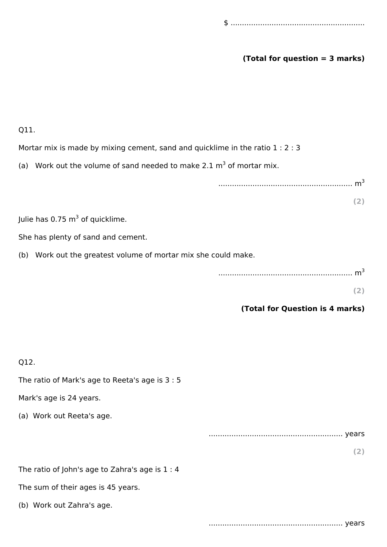### **(Total for question = 3 marks)**

Q11.

Mortar mix is made by mixing cement, sand and quicklime in the ratio 1 : 2 : 3

(a) Work out the volume of sand needed to make 2.1  $m^3$  of mortar mix.

........................................................... m<sup>3</sup>

**(2)**

Julie has 0.75  $\textsf{m}^{3}$  of quicklime.

She has plenty of sand and cement.

(b) Work out the greatest volume of mortar mix she could make.

**(2)**

#### **(Total for Question is 4 marks)**

| Q12.                                            |     |
|-------------------------------------------------|-----|
| The ratio of Mark's age to Reeta's age is 3 : 5 |     |
| Mark's age is 24 years.                         |     |
| (a) Work out Reeta's age.                       |     |
|                                                 |     |
|                                                 | (2) |
| The ratio of John's age to Zahra's age is 1 : 4 |     |
| The sum of their ages is 45 years.              |     |
|                                                 |     |

........................................................... years